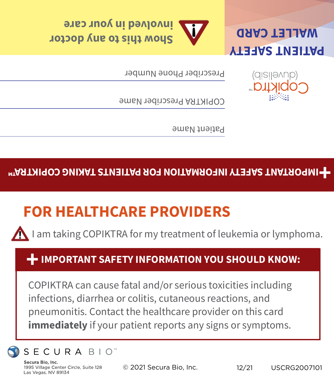

**Show this to any doctor involved in your care**

> (alsijevub) **DIKILO**

Prescriber Phone Number

COPIKTRA Prescriber Name

**Patient Name** 

# **I** TIMPORTANT SAFETY INFORMATION FOR PATIENTS TAKING COPIKTRA<sup>N</sup>

### **FOR HEALTHCARE PROVIDERS**

I am taking COPIKTRA for my treatment of leukemia or lymphoma.

# **+ IMPORTANT SAFETY INFORMATION YOU SHOULD KNOW:**

COPIKTRA can cause fatal and/or serious toxicities including infections, diarrhea or colitis, cutaneous reactions, and pneumonitis. Contact the healthcare provider on this card **immediately** if your patient reports any signs or symptoms.



Secura Bio, Inc. 1995 Village Center Circle, Suite 128 Las Vegas, NV 89134